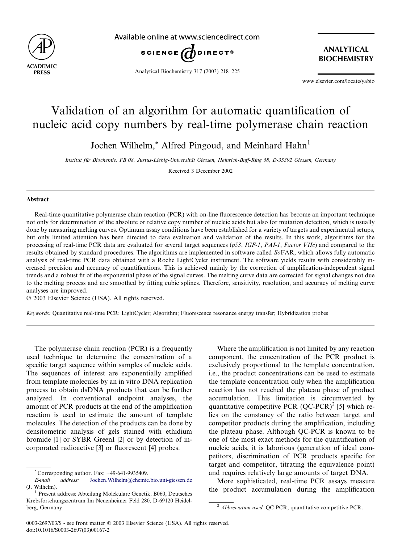

Available online at www.sciencedirect.com



ANALYTICAL **BIOCHEMISTRY** 

Analytical Biochemistry 317 (2003) 218–225

www.elsevier.com/locate/yabio

# Validation of an algorithm for automatic quantification of nucleic acid copy numbers by real-time polymerase chain reaction

Jochen Wilhelm,\* Alfred Pingoud, and Meinhard Hahn<sup>1</sup>

Institut für Biochemie, FB 08, Justus-Liebig-Universität Giessen, Heinrich-Buff-Ring 58, D-35392 Giessen, Germany

Received 3 December 2002

#### Abstract

Real-time quantitative polymerase chain reaction (PCR) with on-line fluorescence detection has become an important technique not only for determination of the absolute or relative copy number of nucleic acids but also for mutation detection, which is usually done by measuring melting curves. Optimum assay conditions have been established for a variety of targets and experimental setups, but only limited attention has been directed to data evaluation and validation of the results. In this work, algorithms for the processing of real-time PCR data are evaluated for several target sequences (p53, IGF-1, PAI-1, Factor VIIc) and compared to the results obtained by standard procedures. The algorithms are implemented in software called SoFAR, which allows fully automatic analysis of real-time PCR data obtained with a Roche LightCycler instrument. The software yields results with considerably increased precision and accuracy of quantifications. This is achieved mainly by the correction of amplification-independent signal trends and a robust fit of the exponential phase of the signal curves. The melting curve data are corrected for signal changes not due to the melting process and are smoothed by fitting cubic splines. Therefore, sensitivity, resolution, and accuracy of melting curve analyses are improved.

2003 Elsevier Science (USA). All rights reserved.

Keywords: Quantitative real-time PCR; LightCycler; Algorithm; Fluorescence resonance energy transfer; Hybridization probes

The polymerase chain reaction (PCR) is a frequently used technique to determine the concentration of a specific target sequence within samples of nucleic acids. The sequences of interest are exponentially amplified from template molecules by an in vitro DNA replication process to obtain dsDNA products that can be further analyzed. In conventional endpoint analyses, the amount of PCR products at the end of the amplification reaction is used to estimate the amount of template molecules. The detection of the products can be done by densitometric analysis of gels stained with ethidium bromide [1] or SYBR GreenI [2] or by detection of incorporated radioactive [3] or fluorescent [4] probes.

Where the amplification is not limited by any reaction component, the concentration of the PCR product is exclusively proportional to the template concentration, i.e., the product concentrations can be used to estimate the template concentration only when the amplification reaction has not reached the plateau phase of product accumulation. This limitation is circumvented by quantitative competitive PCR  $(QC-PCR)^2$  [5] which relies on the constancy of the ratio between target and competitor products during the amplification, including the plateau phase. Although QC-PCR is known to be one of the most exact methods for the quantification of nucleic acids, it is laborious (generation of ideal competitors, discrimination of PCR products specific for target and competitor, titrating the equivalence point) and requires relatively large amounts of target DNA.

More sophisticated, real-time PCR assays measure the product accumulation during the amplification

<sup>\*</sup> Corresponding author. Fax: +49-641-9935409.

E-mail address: [Jochen.Wilhelm@chemie.bio.uni-giessen.de](mail to: Jochen.Wilhelm@chemie.bio.uni-giessen.de) (J. Wilhelm). <sup>1</sup> Present address: Abteilung Molekulare Genetik, B060, Deutsches

Krebsforschungszentrum Im Neuenheimer Feld 280, D-69120 Heidelberg, Germany. 2 Abbreviation used: QC-PCR, quantitative competitive PCR.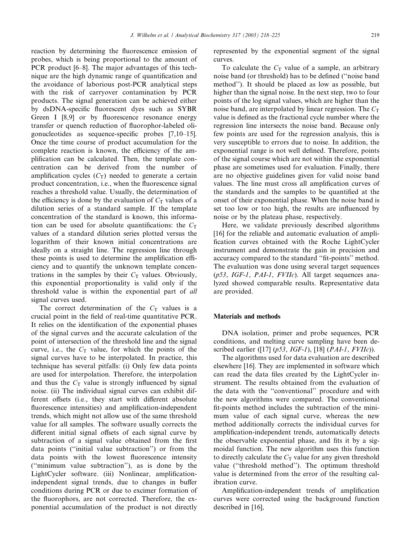reaction by determining the fluorescence emission of probes, which is being proportional to the amount of PCR product [6–8]. The major advantages of this technique are the high dynamic range of quantification and the avoidance of laborious post-PCR analytical steps with the risk of carryover contamination by PCR products. The signal generation can be achieved either by dsDNA-specific fluorescent dyes such as SYBR Green I [8,9] or by fluorescence resonance energy transfer or quench reduction of fluorophor-labeled oligonucleotides as sequence-specific probes [7,10–15]. Once the time course of product accumulation for the complete reaction is known, the efficiency of the amplification can be calculated. Then, the template concentration can be derived from the number of amplification cycles  $(C_T)$  needed to generate a certain product concentration, i.e., when the fluorescence signal reaches a threshold value. Usually, the determination of the efficiency is done by the evaluation of  $C_T$  values of a dilution series of a standard sample. If the template concentration of the standard is known, this information can be used for absolute quantifications: the  $C<sub>T</sub>$ values of a standard dilution series plotted versus the logarithm of their known initial concentrations are ideally on a straight line. The regression line through these points is used to determine the amplification efficiency and to quantify the unknown template concentrations in the samples by their  $C_T$  values. Obviously, this exponential proportionality is valid only if the threshold value is within the exponential part of all signal curves used.

The correct determination of the  $C_T$  values is a crucial point in the field of real-time quantitative PCR. It relies on the identification of the exponential phases of the signal curves and the accurate calculation of the point of intersection of the threshold line and the signal curve, i.e., the  $C_T$  value, for which the points of the signal curves have to be interpolated. In practice, this technique has several pitfalls: (i) Only few data points are used for interpolation. Therefore, the interpolation and thus the  $C_T$  value is strongly influenced by signal noise. (ii) The individual signal curves can exhibit different offsets (i.e., they start with different absolute fluorescence intensities) and amplification-independent trends, which might not allow use of the same threshold value for all samples. The software usually corrects the different initial signal offsets of each signal curve by subtraction of a signal value obtained from the first data points (''initial value subtraction'') or from the data points with the lowest fluorescence intensity (''minimum value subtraction''), as is done by the LightCycler software. (iii) Nonlinear, amplificationindependent signal trends, due to changes in buffer conditions during PCR or due to excimer formation of the fluorophors, are not corrected. Therefore, the exponential accumulation of the product is not directly

represented by the exponential segment of the signal curves.

To calculate the  $C_T$  value of a sample, an arbitrary noise band (or threshold) has to be defined (''noise band method''). It should be placed as low as possible, but higher than the signal noise. In the next step, two to four points of the log signal values, which are higher than the noise band, are interpolated by linear regression. The  $C<sub>T</sub>$ value is defined as the fractional cycle number where the regression line intersects the noise band. Because only few points are used for the regression analysis, this is very susceptible to errors due to noise. In addition, the exponential range is not well defined. Therefore, points of the signal course which are not within the exponential phase are sometimes used for evaluation. Finally, there are no objective guidelines given for valid noise band values. The line must cross all amplification curves of the standards and the samples to be quantified at the onset of their exponential phase. When the noise band is set too low or too high, the results are influenced by noise or by the plateau phase, respectively.

Here, we validate previously described algorithms [16] for the reliable and automatic evaluation of amplification curves obtained with the Roche LightCycler instrument and demonstrate the gain in precision and accuracy compared to the standard ''fit-points'' method. The evaluation was done using several target sequences  $(p53, IGF-1, PAL-1, FVIIc)$ . All target sequences analyzed showed comparable results. Representative data are provided.

# Materials and methods

DNA isolation, primer and probe sequences, PCR conditions, and melting curve sampling have been described earlier ([17]  $(p53, IGF-1)$ , [18]  $(PAI-1, FVIIc)$ ).

The algorithms used for data evaluation are described elsewhere [16]. They are implemented in software which can read the data files created by the LightCycler instrument. The results obtained from the evaluation of the data with the ''conventional'' procedure and with the new algorithms were compared. The conventional fit-points method includes the subtraction of the minimum value of each signal curve, whereas the new method additionally corrects the individual curves for amplification-independent trends, automatically detects the observable exponential phase, and fits it by a sigmoidal function. The new algorithm uses this function to directly calculate the  $C_T$  value for any given threshold value (''threshold method''). The optimum threshold value is determined from the error of the resulting calibration curve.

Amplification-independent trends of amplification curves were corrected using the background function described in [16],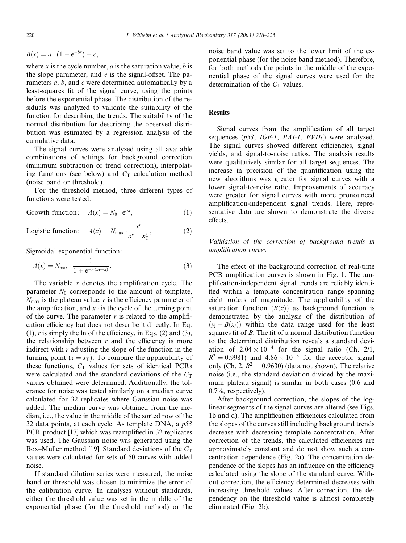$B(x) = a \cdot (1 - e^{-bx}) + c$ 

where x is the cycle number,  $a$  is the saturation value;  $b$  is the slope parameter, and  $c$  is the signal-offset. The parameters a, b, and c were determined automatically by a least-squares fit of the signal curve, using the points before the exponential phase. The distribution of the residuals was analyzed to validate the suitability of the function for describing the trends. The suitability of the normal distribution for describing the observed distribution was estimated by a regression analysis of the cumulative data.

The signal curves were analyzed using all available combinations of settings for background correction (minimum subtraction or trend correction), interpolating functions (see below) and  $C_T$  calculation method (noise band or threshold).

For the threshold method, three different types of functions were tested:

$$
Growth function: \quad A(x) = N_0 \cdot e^{r \cdot x}, \tag{1}
$$

Logistic function: 
$$
A(x) = N_{\text{max}} \cdot \frac{x^r}{x^r + x_{\text{T}}^r}
$$
, (2)

Sigmoidal exponential function:

$$
A(x) = N_{\max} \cdot \frac{1}{1 + e^{-r \cdot (x_T - x)}}.
$$
 (3)

The variable  $x$  denotes the amplification cycle. The parameter  $N_0$  corresponds to the amount of template,  $N_{\text{max}}$  is the plateau value, r is the efficiency parameter of the amplification, and  $x_T$  is the cycle of the turning point of the curve. The parameter  $r$  is related to the amplification efficiency but does not describe it directly. In Eq.  $(1)$ , r is simply the ln of the efficiency, in Eqs.  $(2)$  and  $(3)$ , the relationship between  $r$  and the efficiency is more indirect with  $r$  adjusting the slope of the function in the turning point  $(x = x_T)$ . To compare the applicability of these functions,  $C_T$  values for sets of identical PCRs were calculated and the standard deviations of the  $C<sub>T</sub>$ values obtained were determined. Additionally, the tolerance for noise was tested similarly on a median curve calculated for 32 replicates where Gaussian noise was added. The median curve was obtained from the median, i.e., the value in the middle of the sorted row of the 32 data points, at each cycle. As template DNA, a  $p53$ PCR product [17] which was reamplified in 32 replicates was used. The Gaussian noise was generated using the Box–Muller method [19]. Standard deviations of the  $C_T$ values were calculated for sets of 50 curves with added noise.

If standard dilution series were measured, the noise band or threshold was chosen to minimize the error of the calibration curve. In analyses without standards, either the threshold value was set in the middle of the exponential phase (for the threshold method) or the noise band value was set to the lower limit of the exponential phase (for the noise band method). Therefore, for both methods the points in the middle of the exponential phase of the signal curves were used for the determination of the  $C_T$  values.

# **Results**

Signal curves from the amplification of all target sequences (p53, IGF-1, PAI-1, FVIIc) were analyzed. The signal curves showed different efficiencies, signal yields, and signal-to-noise ratios. The analysis results were qualitatively similar for all target sequences. The increase in precision of the quantification using the new algorithms was greater for signal curves with a lower signal-to-noise ratio. Improvements of accuracy were greater for signal curves with more pronounced amplification-independent signal trends. Here, representative data are shown to demonstrate the diverse effects.

# Validation of the correction of background trends in amplification curves

The effect of the background correction of real-time PCR amplification curves is shown in Fig. 1. The amplification-independent signal trends are reliably identified within a template concentration range spanning eight orders of magnitude. The applicability of the saturation function  $(B(x))$  as background function is demonstrated by the analysis of the distribution of  $(y<sub>i</sub> - B(x<sub>i</sub>)$ ) within the data range used for the least squares fit of B. The fit of a normal distribution function to the determined distribution reveals a standard deviation of  $2.04 \times 10^{-4}$  for the signal ratio (Ch. 2/1,  $R<sup>2</sup> = 0.9981$ ) and  $4.86 \times 10^{-3}$  for the acceptor signal only (Ch. 2,  $R^2 = 0.9630$ ) (data not shown). The relative noise (i.e., the standard deviation divided by the maximum plateau signal) is similar in both cases (0.6 and 0.7%, respectively).

After background correction, the slopes of the loglinear segments of the signal curves are altered (see Figs. 1b and d). The amplification efficiencies calculated from the slopes of the curves still including background trends decrease with decreasing template concentration. After correction of the trends, the calculated efficiencies are approximately constant and do not show such a concentration dependence (Fig. 2a). The concentration dependence of the slopes has an influence on the efficiency calculated using the slope of the standard curve. Without correction, the efficiency determined decreases with increasing threshold values. After correction, the dependency on the threshold value is almost completely eliminated (Fig. 2b).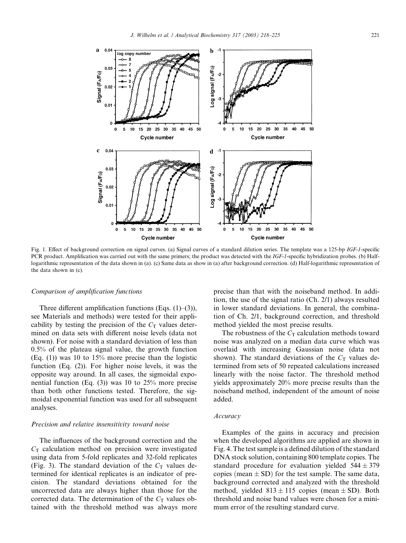



Fig. 1. Effect of background correction on signal curves. (a) Signal curves of a standard dilution series. The template was a 125-bp IGF-1-specific PCR product. Amplification was carried out with the same primers; the product was detected with the IGF-1-specific hybridization probes. (b) Halflogarithmic representation of the data shown in (a). (c) Same data as show in (a) after background correction. (d) Half-logarithmic representation of the data shown in (c).

### Comparison of amplification functions

Three different amplification functions (Eqs.  $(1)$ – $(3)$ ), see Materials and methods) were tested for their applicability by testing the precision of the  $C<sub>T</sub>$  values determined on data sets with different noise levels (data not shown). For noise with a standard deviation of less than 0.5% of the plateau signal value, the growth function  $(Eq. (1))$  was 10 to 15% more precise than the logistic function (Eq. (2)). For higher noise levels, it was the opposite way around. In all cases, the sigmoidal exponential function (Eq.  $(3)$ ) was 10 to 25% more precise than both other functions tested. Therefore, the sigmoidal exponential function was used for all subsequent analyses.

#### Precision and relative insensitivity toward noise

The influences of the background correction and the  $C<sub>T</sub>$  calculation method on precision were investigated using data from 5-fold replicates and 32-fold replicates (Fig. 3). The standard deviation of the  $C_T$  values determined for identical replicates is an indicator of precision. The standard deviations obtained for the uncorrected data are always higher than those for the corrected data. The determination of the  $C<sub>T</sub>$  values obtained with the threshold method was always more precise than that with the noiseband method. In addition, the use of the signal ratio (Ch. 2/1) always resulted in lower standard deviations. In general, the combination of Ch. 2/1, background correction, and threshold method yielded the most precise results.

The robustness of the  $C_T$  calculation methods toward noise was analyzed on a median data curve which was overlaid with increasing Gaussian noise (data not shown). The standard deviations of the  $C<sub>T</sub>$  values determined from sets of 50 repeated calculations increased linearly with the noise factor. The threshold method yields approximately 20% more precise results than the noiseband method, independent of the amount of noise added.

### Accuracy

Examples of the gains in accuracy and precision when the developed algorithms are applied are shown in Fig. 4. The test sample is a defined dilution of the standard DNA stock solution, containing 800 template copies. The standard procedure for evaluation yielded  $544 \pm 379$ copies (mean  $\pm$  SD) for the test sample. The same data, background corrected and analyzed with the threshold method, yielded  $813 \pm 115$  copies (mean  $\pm$  SD). Both threshold and noise band values were chosen for a minimum error of the resulting standard curve.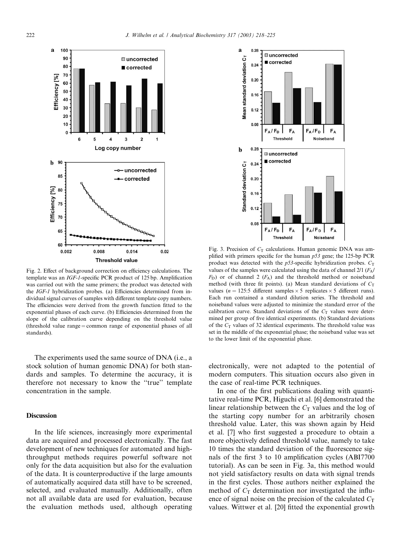

Fig. 2. Effect of background correction on efficiency calculations. The template was an IGF-1-specific PCR product of 125 bp. Amplification was carried out with the same primers; the product was detected with the IGF-1 hybridization probes. (a) Efficiencies determined from individual signal curves of samples with different template copy numbers. The efficiencies were derived from the growth function fitted to the exponential phases of each curve. (b) Efficiencies determined from the slope of the calibration curve depending on the threshold value (threshold value range  $=$  common range of exponential phases of all standards).

The experiments used the same source of DNA (i.e., a stock solution of human genomic DNA) for both standards and samples. To determine the accuracy, it is therefore not necessary to know the ''true'' template concentration in the sample.

#### **Discussion**

In the life sciences, increasingly more experimental data are acquired and processed electronically. The fast development of new techniques for automated and highthroughput methods requires powerful software not only for the data acquisition but also for the evaluation of the data. It is counterproductive if the large amounts of automatically acquired data still have to be screened, selected, and evaluated manually. Additionally, often not all available data are used for evaluation, because the evaluation methods used, although operating



Fig. 3. Precision of  $C_T$  calculations. Human genomic DNA was amplified with primers specific for the human p53 gene; the 125-bp PCR product was detected with the  $p53$ -specific hybridization probes.  $C_T$ values of the samples were calculated using the data of channel  $2/1$  ( $F_A$ /  $F<sub>D</sub>$ ) or of channel 2 ( $F<sub>A</sub>$ ) and the threshold method or noiseband method (with three fit points). (a) Mean standard deviations of  $C_T$ values ( $n = 125:5$  different samples  $\times 5$  replicates  $\times 5$  different runs). Each run contained a standard dilution series. The threshold and noiseband values were adjusted to minimize the standard error of the calibration curve. Standard deviations of the  $C<sub>T</sub>$  values were determined per group of five identical experiments. (b) Standard deviations of the  $C<sub>T</sub>$  values of 32 identical experiments. The threshold value was set in the middle of the exponential phase; the noiseband value was set to the lower limit of the exponential phase.

electronically, were not adapted to the potential of modern computers. This situation occurs also given in the case of real-time PCR techniques.

In one of the first publications dealing with quantitative real-time PCR, Higuchi et al. [6] demonstrated the linear relationship between the  $C<sub>T</sub>$  values and the log of the starting copy number for an arbitrarily chosen threshold value. Later, this was shown again by Heid et al. [7] who first suggested a procedure to obtain a more objectively defined threshold value, namely to take 10 times the standard deviation of the fluorescence signals of the first 3 to 10 amplification cycles (ABI7700 tutorial). As can be seen in Fig. 3a, this method would not yield satisfactory results on data with signal trends in the first cycles. Those authors neither explained the method of  $C_T$  determination nor investigated the influence of signal noise on the precision of the calculated  $C_T$ values. Wittwer et al. [20] fitted the exponential growth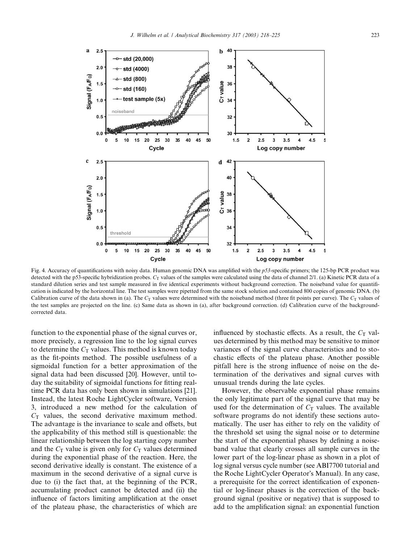

Fig. 4. Accuracy of quantifications with noisy data. Human genomic DNA was amplified with the p53-specific primers; the 125-bp PCR product was detected with the p53-specific hybridization probes.  $C_T$  values of the samples were calculated using the data of channel 2/1. (a) Kinetic PCR data of a standard dilution series and test sample measured in five identical experiments without background correction. The noiseband value for quantification is indicated by the horizontal line. The test samples were pipetted from the same stock solution and contained 800 copies of genomic DNA. (b) Calibration curve of the data shown in (a). The  $C_T$  values were determined with the noiseband method (three fit points per curve). The  $C_T$  values of the test samples are projected on the line. (c) Same data as shown in (a), after background correction. (d) Calibration curve of the backgroundcorrected data.

function to the exponential phase of the signal curves or, more precisely, a regression line to the log signal curves to determine the  $C_T$  values. This method is known today as the fit-points method. The possible usefulness of a sigmoidal function for a better approximation of the signal data had been discussed [20]. However, until today the suitability of sigmoidal functions for fitting realtime PCR data has only been shown in simulations [21]. Instead, the latest Roche LightCycler software, Version 3, introduced a new method for the calculation of  $C_T$  values, the second derivative maximum method. The advantage is the invariance to scale and offsets, but the applicability of this method still is questionable: the linear relationship between the log starting copy number and the  $C_T$  value is given only for  $C_T$  values determined during the exponential phase of the reaction. Here, the second derivative ideally is constant. The existence of a maximum in the second derivative of a signal curve is due to (i) the fact that, at the beginning of the PCR, accumulating product cannot be detected and (ii) the influence of factors limiting amplification at the onset of the plateau phase, the characteristics of which are influenced by stochastic effects. As a result, the  $C<sub>T</sub>$  values determined by this method may be sensitive to minor variances of the signal curve characteristics and to stochastic effects of the plateau phase. Another possible pitfall here is the strong influence of noise on the determination of the derivatives and signal curves with unusual trends during the late cycles.

However, the observable exponential phase remains the only legitimate part of the signal curve that may be used for the determination of  $C_T$  values. The available software programs do not identify these sections automatically. The user has either to rely on the validity of the threshold set using the signal noise or to determine the start of the exponential phases by defining a noiseband value that clearly crosses all sample curves in the lower part of the log-linear phase as shown in a plot of log signal versus cycle number (see ABI7700 tutorial and the Roche LightCycler Operator's Manual). In any case, a prerequisite for the correct identification of exponential or log-linear phases is the correction of the background signal (positive or negative) that is supposed to add to the amplification signal: an exponential function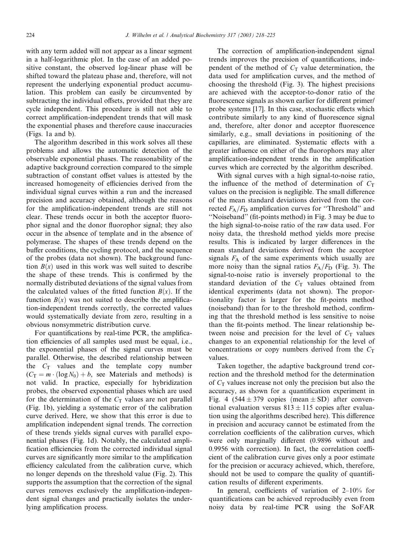with any term added will not appear as a linear segment in a half-logarithmic plot. In the case of an added positive constant, the observed log-linear phase will be shifted toward the plateau phase and, therefore, will not represent the underlying exponential product accumulation. This problem can easily be circumvented by subtracting the individual offsets, provided that they are cycle independent. This procedure is still not able to correct amplification-independent trends that will mask the exponential phases and therefore cause inaccuracies (Figs. 1a and b).

The algorithm described in this work solves all these problems and allows the automatic detection of the observable exponential phases. The reasonability of the adaptive background correction compared to the simple subtraction of constant offset values is attested by the increased homogeneity of efficiencies derived from the individual signal curves within a run and the increased precision and accuracy obtained, although the reasons for the amplification-independent trends are still not clear. These trends occur in both the acceptor fluorophor signal and the donor fluorophor signal; they also occur in the absence of template and in the absence of polymerase. The shapes of these trends depend on the buffer conditions, the cycling protocol, and the sequence of the probes (data not shown). The background function  $B(x)$  used in this work was well suited to describe the shape of these trends. This is confirmed by the normally distributed deviations of the signal values from the calculated values of the fitted function  $B(x)$ . If the function  $B(x)$  was not suited to describe the amplification-independent trends correctly, the corrected values would systematically deviate from zero, resulting in a obvious nonsymmetric distribution curve.

For quantifications by real-time PCR, the amplification efficiencies of all samples used must be equal, i.e., the exponential phases of the signal curves must be parallel. Otherwise, the described relationship between the  $C_T$  values and the template copy number  $(C_T = m \cdot (\log N_0) + b$ , see Materials and methods) is not valid. In practice, especially for hybridization probes, the observed exponential phases which are used for the determination of the  $C<sub>T</sub>$  values are not parallel (Fig. 1b), yielding a systematic error of the calibration curve derived. Here, we show that this error is due to amplification independent signal trends. The correction of these trends yields signal curves with parallel exponential phases (Fig. 1d). Notably, the calculated amplification efficiencies from the corrected individual signal curves are significantly more similar to the amplification efficiency calculated from the calibration curve, which no longer depends on the threshold value (Fig. 2). This supports the assumption that the correction of the signal curves removes exclusively the amplification-independent signal changes and practically isolates the underlying amplification process.

The correction of amplification-independent signal trends improves the precision of quantifications, independent of the method of  $C_T$  value determination, the data used for amplification curves, and the method of choosing the threshold (Fig. 3). The highest precisions are achieved with the acceptor-to-donor ratio of the fluorescence signals as shown earlier for different primer/ probe systems [17]. In this case, stochastic effects which contribute similarly to any kind of fluorescence signal and, therefore, alter donor and acceptor fluorescence similarly, e.g., small deviations in positioning of the capillaries, are eliminated. Systematic effects with a greater influence on either of the fluorophors may alter amplification-independent trends in the amplification curves which are corrected by the algorithm described.

With signal curves with a high signal-to-noise ratio, the influence of the method of determination of  $C_T$ values on the precision is negligible. The small difference of the mean standard deviations derived from the corrected  $F_A/F_D$  amplification curves for "Threshold" and ''Noiseband'' (fit-points method) in Fig. 3 may be due to the high signal-to-noise ratio of the raw data used. For noisy data, the threshold method yields more precise results. This is indicated by larger differences in the mean standard deviations derived from the acceptor signals  $F_A$  of the same experiments which usually are more noisy than the signal ratios  $F_A/F_D$  (Fig. 3). The signal-to-noise ratio is inversely proportional to the standard deviation of the  $C_T$  values obtained from identical experiments (data not shown). The proportionality factor is larger for the fit-points method (noiseband) than for to the threshold method, confirming that the threshold method is less sensitive to noise than the fit-points method. The linear relationship between noise and precision for the level of  $C_T$  values changes to an exponential relationship for the level of concentrations or copy numbers derived from the  $C<sub>T</sub>$ values.

Taken together, the adaptive background trend correction and the threshold method for the determination of  $C_T$  values increase not only the precision but also the accuracy, as shown for a quantification experiment in Fig. 4 (544  $\pm$  379 copies (mean  $\pm$  SD) after conventional evaluation versus  $813 \pm 115$  copies after evaluation using the algorithms described here). This difference in precision and accuracy cannot be estimated from the correlation coefficients of the calibration curves, which were only marginally different (0.9896 without and 0.9956 with correction). In fact, the correlation coefficient of the calibration curve gives only a poor estimate for the precision or accuracy achieved, which, therefore, should not be used to compare the quality of quantification results of different experiments.

In general, coefficients of variation of  $2-10\%$  for quantifications can be achieved reproducibly even from noisy data by real-time PCR using the SoFAR